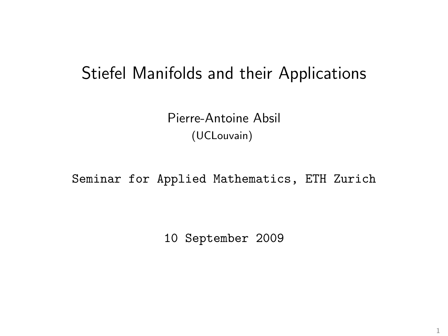# Stiefel Manifolds and their Applications

Pierre-Antoine Absil (UCLouvain)

Seminar for Applied Mathematics, ETH Zurich

10 September 2009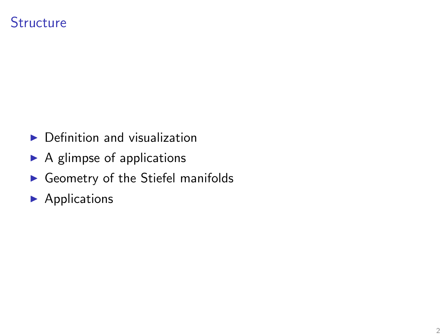### **Structure**

- $\blacktriangleright$  Definition and visualization
- $\blacktriangleright$  A glimpse of applications
- $\blacktriangleright$  Geometry of the Stiefel manifolds
- $\blacktriangleright$  Applications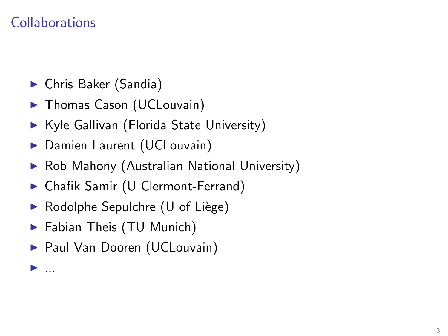## **Collaborations**

. <u>.</u> . .

- ► Chris Baker (Sandia)
- ▶ Thomas Cason (UCLouvain)
- ▶ Kyle Gallivan (Florida State University)
- Damien Laurent (UCLouvain)
- ◮ Rob Mahony (Australian National University)
- ◮ Chafik Samir (U Clermont-Ferrand)
- $\triangleright$  Rodolphe Sepulchre (U of Liège)
- ▶ Fabian Theis (TU Munich)
- ▶ Paul Van Dooren (UCLouvain)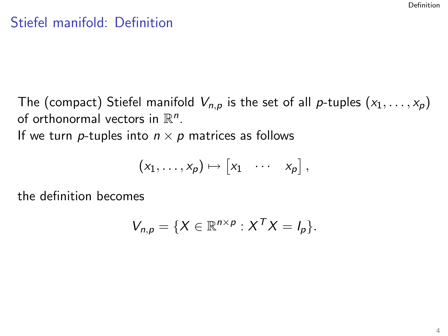### Stiefel manifold: Definition

The (compact) Stiefel manifold  $V_{n,p}$  is the set of all p-tuples  $(x_1, \ldots, x_p)$ of orthonormal vectors in  $\mathbb{R}^n$ .

If we turn *p*-tuples into  $n \times p$  matrices as follows

$$
(x_1,\ldots,x_p)\mapsto [x_1 \cdots x_p],
$$

the definition becomes

<span id="page-3-0"></span>
$$
V_{n,p} = \{ X \in \mathbb{R}^{n \times p} : X^T X = I_p \}.
$$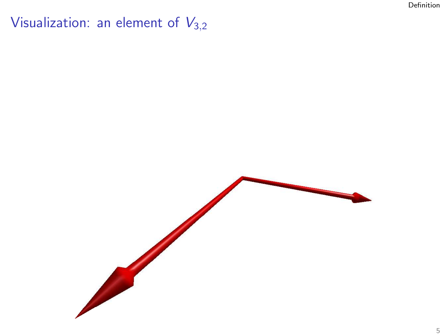Visualization: an element of  $V_{3,2}$ 

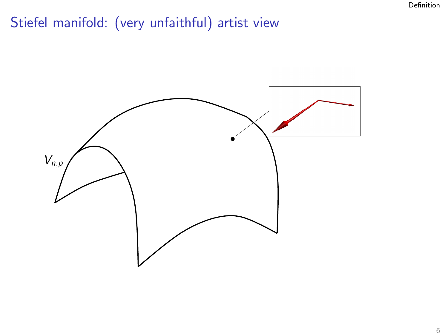# Stiefel manifold: (very unfaithful) artist view

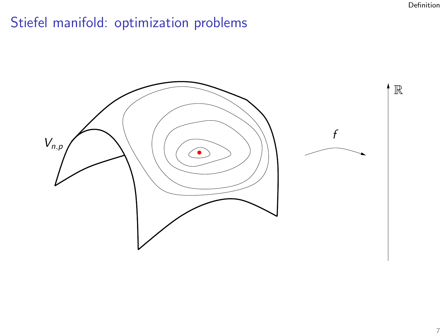# Stiefel manifold: optimization problems

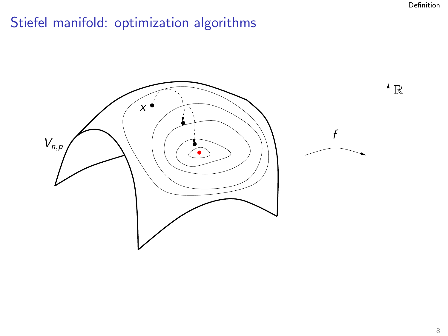# Stiefel manifold: optimization algorithms

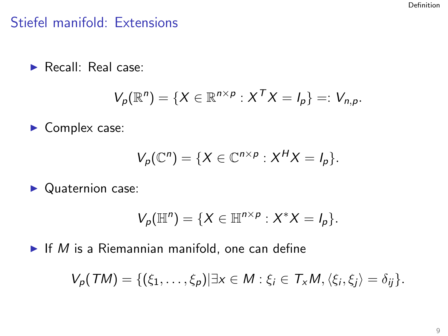## Stiefel manifold: Extensions

▶ Recall: Real case:

$$
V_p(\mathbb{R}^n) = \{X \in \mathbb{R}^{n \times p} : X^T X = I_p\} =: V_{n,p}.
$$

▶ Complex case:

$$
V_p(\mathbb{C}^n)=\{X\in\mathbb{C}^{n\times p}:X^H X=I_p\}.
$$

▶ Quaternion case:

$$
V_p(\mathbb{H}^n)=\{X\in\mathbb{H}^{n\times p}:X^*X=I_p\}.
$$

 $\blacktriangleright$  If M is a Riemannian manifold, one can define

$$
V_p(TM) = \{(\xi_1,\ldots,\xi_p)| \exists x \in M : \xi_i \in T_xM, \langle \xi_i, \xi_j \rangle = \delta_{ij}\}.
$$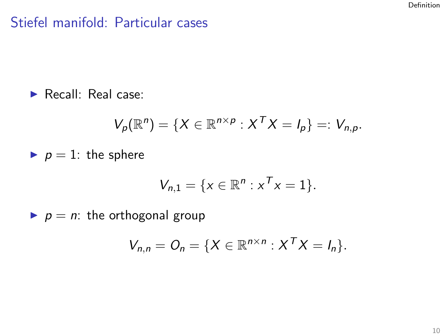## Stiefel manifold: Particular cases

▶ Recall: Real case:

$$
V_p(\mathbb{R}^n) = \{X \in \mathbb{R}^{n \times p} : X^T X = I_p\} =: V_{n,p}.
$$

p = 1: the sphere

$$
V_{n,1} = \{x \in \mathbb{R}^n : x^T x = 1\}.
$$

p = n: the orthogonal group

$$
V_{n,n} = O_n = \{X \in \mathbb{R}^{n \times n} : X^T X = I_n\}.
$$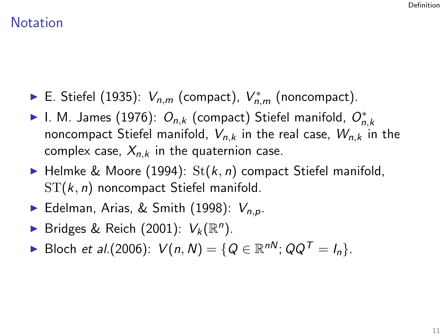### **Notation**

- ► E. Stiefel (1935):  $V_{n,m}$  (compact),  $V_{n,m}^*$  (noncompact).
- ► I. M. James (1976):  $O_{n,k}$  (compact) Stiefel manifold,  $O_{n,k}^*$ noncompact Stiefel manifold,  $V_{n,k}$  in the real case,  $W_{n,k}$  in the complex case,  $X_{n,k}$  in the quaternion case.
- ▶ Helmke & Moore (1994):  $St(k, n)$  compact Stiefel manifold,  $ST(k, n)$  noncompact Stiefel manifold.
- Edelman, Arias, & Smith (1998):  $V_{n,p}$ .
- Bridges & Reich (2001):  $V_k(\mathbb{R}^n)$ .
- ► Bloch et al.(2006):  $V(n, N) = \{Q \in \mathbb{R}^{nN}; QQ^{T} = I_{n}\}.$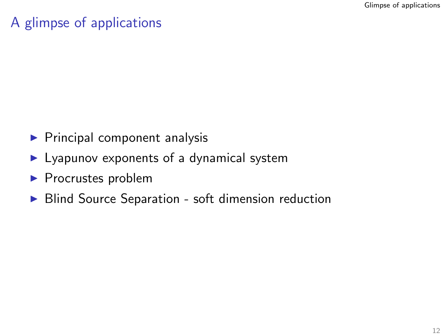## A glimpse of applications

- $\blacktriangleright$  Principal component analysis
- $\blacktriangleright$  Lyapunov exponents of a dynamical system
- ▶ Procrustes problem
- <span id="page-11-0"></span>▶ Blind Source Separation - soft dimension reduction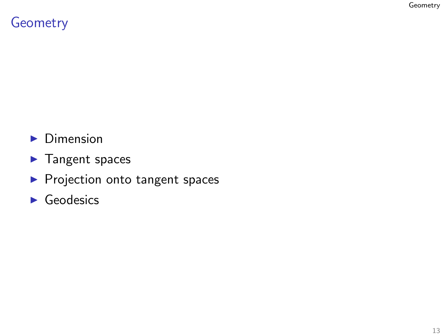## Geometry

- ▶ Dimension
- ▶ Tangent spaces
- ▶ Projection onto tangent spaces
- <span id="page-12-0"></span> $\blacktriangleright$  Geodesics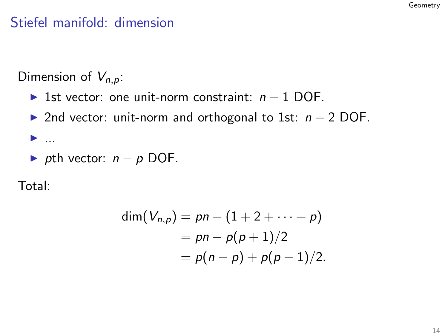## Stiefel manifold: dimension

Dimension of  $V_{n,p}$ :

- ► 1st vector: one unit-norm constraint:  $n 1$  DOF.
- ► 2nd vector: unit-norm and orthogonal to 1st:  $n 2$  DOF.
- $\blacktriangleright$  ...
- $\triangleright$  pth vector:  $n p$  DOF.

Total:

$$
dim(V_{n,p}) = pn - (1 + 2 + \cdots + p)
$$
  
=  $pn - p(p + 1)/2$   
=  $p(n - p) + p(p - 1)/2$ .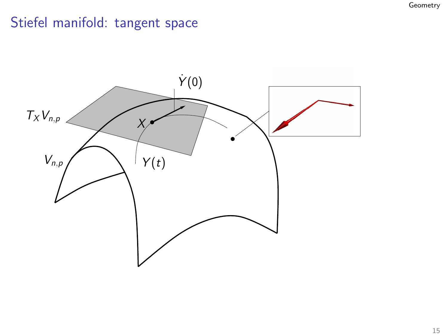## Stiefel manifold: tangent space

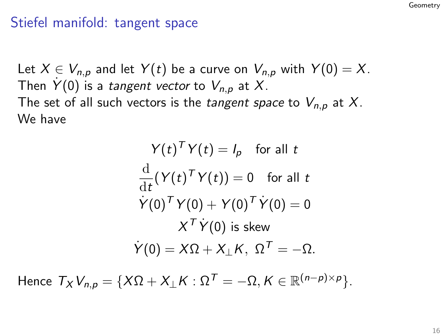### Stiefel manifold: tangent space

Let  $X \in V_{n,p}$  and let  $Y(t)$  be a curve on  $V_{n,p}$  with  $Y(0) = X$ . Then  $\dot{Y}(0)$  is a tangent vector to  $V_{n,p}$  at X. The set of all such vectors is the *tangent space* to  $V_{n,p}$  at X. We have

$$
Y(t)^{T}Y(t) = I_{p} \text{ for all } t
$$
  

$$
\frac{d}{dt}(Y(t)^{T}Y(t)) = 0 \text{ for all } t
$$
  

$$
\dot{Y}(0)^{T}Y(0) + Y(0)^{T}\dot{Y}(0) = 0
$$
  

$$
X^{T}\dot{Y}(0) \text{ is skew}
$$
  

$$
\dot{Y}(0) = X\Omega + X_{\perp}K, \ \Omega^{T} = -\Omega.
$$

Hence  $T_X V_{n,p} = \{ X\Omega + X_{\perp} K : \Omega^T = -\Omega, K \in \mathbb{R}^{(n-p)\times p} \}.$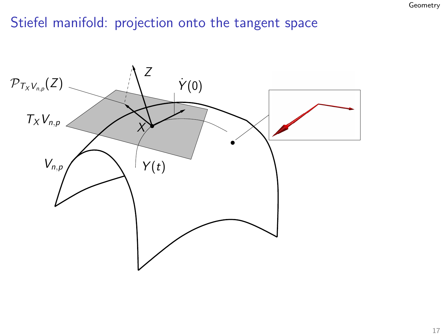## Stiefel manifold: projection onto the tangent space

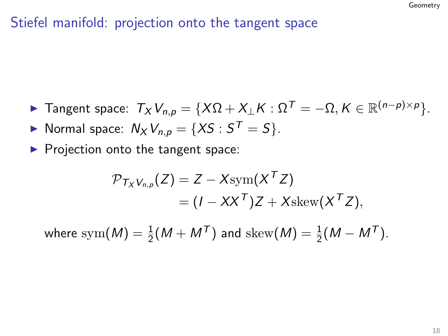## Stiefel manifold: projection onto the tangent space

- ► Tangent space:  $T_X V_{n,p} = \{X\Omega + X_\perp K : \Omega^T = -\Omega, K \in \mathbb{R}^{(n-p)\times p}\}.$
- Normal space:  $N_X V_{n,p} = \{XS : S^T = S\}.$
- $\blacktriangleright$  Projection onto the tangent space:

$$
\mathcal{P}_{T_XV_{n,p}}(Z) = Z - X\mathrm{sym}(X^T Z)
$$
  
=  $(I - XX^T)Z + X\mathrm{skew}(X^T Z),$ 

where  $\mathrm{sym}(M)=\frac{1}{2}(M+M^{\mathsf{T}})$  and  $\mathrm{skew}(M)=\frac{1}{2}(M-M^{\mathsf{T}})$ .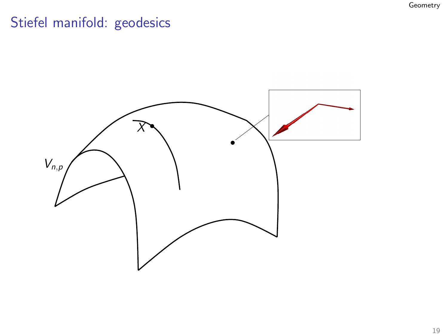# Stiefel manifold: geodesics

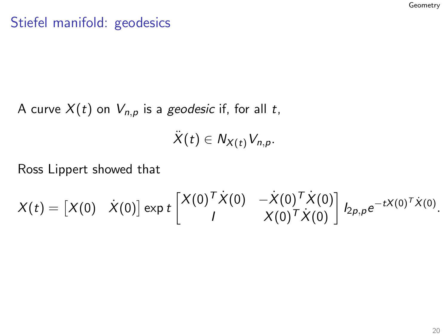## Stiefel manifold: geodesics

A curve  $X(t)$  on  $V_{n,p}$  is a geodesic if, for all t,

 $\ddot{X}(t) \in N_{X(t)}V_{n,p}.$ 

Ross Lippert showed that

$$
X(t)=\begin{bmatrix}X(0)&\dot X(0)\end{bmatrix}\exp t\begin{bmatrix}X(0)^T\dot X(0)&-\dot X(0)^T\dot X(0)\\I&X(0)^T\dot X(0)\end{bmatrix}I_{2\rho,\rho}e^{-tX(0)^T\dot X(0)}.
$$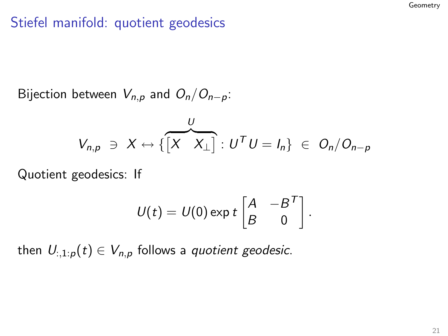## Stiefel manifold: quotient geodesics

Bijection between  $V_{n,p}$  and  $O_n/O_{n-p}$ :

$$
V_{n,p} \ni X \leftrightarrow \{ \begin{bmatrix} X & X_{\perp} \end{bmatrix} : U^{T}U = I_{n} \} \in O_{n}/O_{n-p}
$$

Quotient geodesics: If

$$
U(t) = U(0) \exp t \begin{bmatrix} A & -B^T \ B & 0 \end{bmatrix}.
$$

then  $U_{:,1:p}(t) \in V_{n,p}$  follows a quotient geodesic.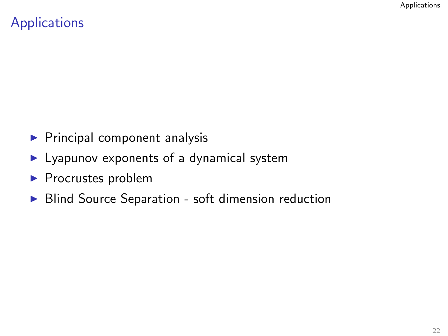## **Applications**

- $\blacktriangleright$  Principal component analysis
- $\blacktriangleright$  Lyapunov exponents of a dynamical system
- ▶ Procrustes problem
- <span id="page-21-0"></span>▶ Blind Source Separation - soft dimension reduction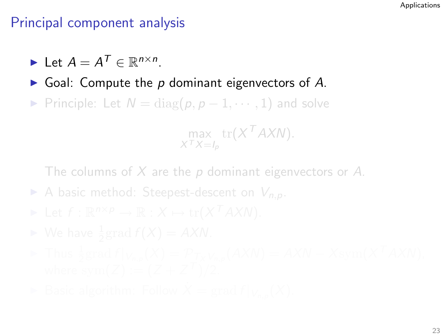- $\blacktriangleright$  Let  $A = A^T \in \mathbb{R}^{n \times n}$ .
- $\triangleright$  Goal: Compute the p dominant eigenvectors of A.
- ► Principle: Let  $N = diag(p, p 1, \dots, 1)$  and solve

 $\max_{X^T X = I_p} \text{tr}(X^T A X N).$ 

- A basic method: Steepest-descent on  $V_{n,p}$ .
- 
- 
- 
-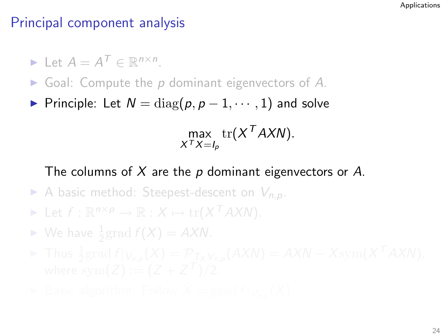$\blacktriangleright$  Let  $A = A^T \in \mathbb{R}^{n \times n}$ .

- $\triangleright$  Goal: Compute the p dominant eigenvectors of A.
- ► Principle: Let  $N = diag(p, p 1, \dots, 1)$  and solve

max  $\text{tr}(X^T A X N)$ .<br> $X^T X = I_p$ 

- A basic method: Steepest-descent on  $V_{n,p}$ .
- ► Let  $f: \mathbb{R}^{n \times p} \to \mathbb{R}: X \mapsto \text{tr}(X^T A X N).$
- $\blacktriangleright$  We have  $\frac{1}{2}$ grad  $f(X) = AXN$ .
- 
-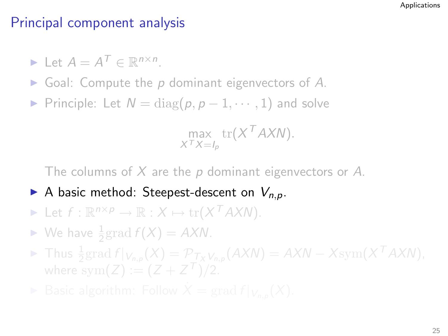$\blacktriangleright$  Let  $A = A^T \in \mathbb{R}^{n \times n}$ .

- $\triangleright$  Goal: Compute the p dominant eigenvectors of A.
- ► Principle: Let  $N = \text{diag}(p, p 1, \dots, 1)$  and solve

 $\max_{X^T X = I_p} \text{tr}(X^T A X N).$ 

- A basic method: Steepest-descent on  $V_{n,p}$ .
- ► Let  $f: \mathbb{R}^{n \times p} \to \mathbb{R}: X \mapsto \text{tr}(X^T A X N).$
- $\blacktriangleright$  We have  $\frac{1}{2}$ grad  $f(X) = AXN$ .
- ► Thus  $\frac{1}{2}$ grad  $f|_{V_{n,p}}(X) = \mathcal{P}_{T_X V_{n,p}}(AXN) = AXN Xsym(X^TAXN),$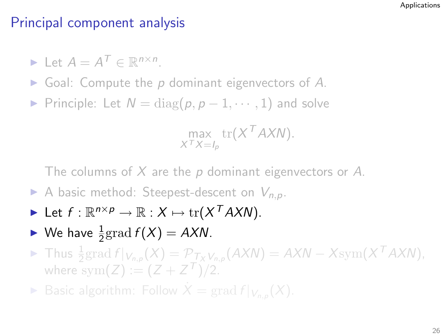$\blacktriangleright$  Let  $A = A^T \in \mathbb{R}^{n \times n}$ .

- $\triangleright$  Goal: Compute the p dominant eigenvectors of A.
- ► Principle: Let  $N = \text{diag}(p, p 1, \dots, 1)$  and solve

$$
\max_{X^T X = I_p} \text{tr}(X^T A X N).
$$

The columns of  $X$  are the p dominant eigenvectors or A.

- A basic method: Steepest-descent on  $V_{n,p}$ .
- ► Let  $f: \mathbb{R}^{n \times p} \to \mathbb{R}: X \mapsto \text{tr}(X^T A X N).$
- $\blacktriangleright$  We have  $\frac{1}{2}$  grad  $f(X) = AXN$ .
- ► Thus  $\frac{1}{2}$ grad  $f|_{V_{n,p}}(X) = \mathcal{P}_{T_X V_{n,p}}(AXN) = AXN Xsym(X^TAXN),$ where  $sym(Z) := (Z + Z^{T})/2$ .

▶ Basic algorithm: Follow  $\dot{X} = \text{grad } f|_{V_{n,p}}(X)$ .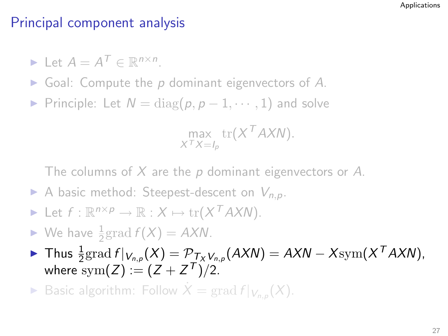$\blacktriangleright$  Let  $A = A^T \in \mathbb{R}^{n \times n}$ .

- $\triangleright$  Goal: Compute the p dominant eigenvectors of A.
- ► Principle: Let  $N = \text{diag}(p, p 1, \dots, 1)$  and solve

$$
\max_{X^T X = I_p} \text{tr}(X^T A X N).
$$

The columns of  $X$  are the p dominant eigenvectors or A.

- A basic method: Steepest-descent on  $V_{n,p}$ .
- ► Let  $f: \mathbb{R}^{n \times p} \to \mathbb{R}: X \mapsto \text{tr}(X^T A X N).$
- $\blacktriangleright$  We have  $\frac{1}{2}$  grad  $f(X) = AXN$ .
- ► Thus  $\frac{1}{2}$ grad  $f|_{V_{n,p}}(X) = \mathcal{P}_{T_X V_{n,p}}(AXN) = AXN Xsym(X^TAXN),$ where  $\mathrm{sym}(Z) := (Z + Z^{T})/2$ .

▶ Basic algorithm: Follow  $\dot{X} = \text{grad } f|_{V_{n,p}}(X)$ .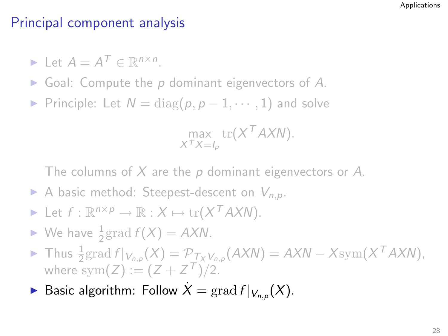$\blacktriangleright$  Let  $A = A^T \in \mathbb{R}^{n \times n}$ .

- $\triangleright$  Goal: Compute the p dominant eigenvectors of A.
- ► Principle: Let  $N = \text{diag}(p, p 1, \dots, 1)$  and solve

$$
\max_{X^T X = I_p} \text{tr}(X^T A X N).
$$

- A basic method: Steepest-descent on  $V_{n,p}$ .
- ► Let  $f: \mathbb{R}^{n \times p} \to \mathbb{R}: X \mapsto \text{tr}(X^T A X N).$
- $\blacktriangleright$  We have  $\frac{1}{2}$  grad  $f(X) = AXN$ .
- ► Thus  $\frac{1}{2}$ grad  $f|_{V_{n,p}}(X) = \mathcal{P}_{T_X V_{n,p}}(AXN) = AXN Xsym(X^TAXN),$ where  $sym(Z) := (Z + Z^{T})/2$ .
- ▶ Basic algorithm: Follow  $\dot{X} = \text{grad } f|_{V_{n,p}}(X)$ .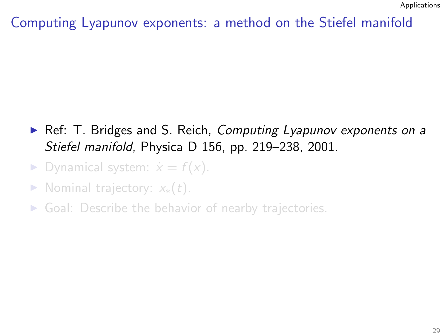- ▶ Ref: T. Bridges and S. Reich, Computing Lyapunov exponents on a Stiefel manifold, Physica D 156, pp. 219–238, 2001.
- ▶ Dynamical system:  $\dot{x} = f(x)$ .
- Nominal trajectory:  $x_*(t)$ .
- $\triangleright$  Goal: Describe the behavior of nearby trajectories.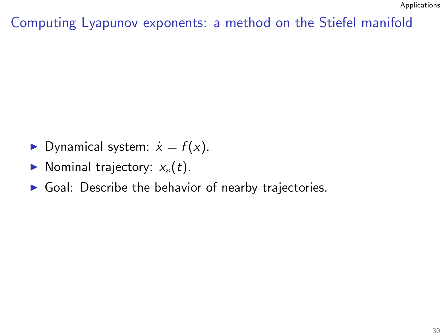- ▶ Dynamical system:  $\dot{x} = f(x)$ .
- Nominal trajectory:  $x_*(t)$ .
- $\triangleright$  Goal: Describe the behavior of nearby trajectories.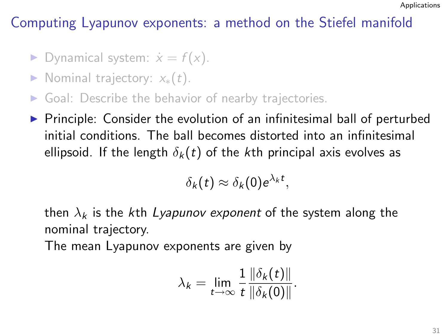- ▶ Dynamical system:  $\dot{x} = f(x)$ .
- Nominal trajectory:  $x_*(t)$ .
- $\triangleright$  Goal: Describe the behavior of nearby trajectories.
- $\triangleright$  Principle: Consider the evolution of an infinitesimal ball of perturbed initial conditions. The ball becomes distorted into an infinitesimal ellipsoid. If the length  $\delta_k(t)$  of the kth principal axis evolves as

$$
\delta_k(t) \approx \delta_k(0) e^{\lambda_k t},
$$

then  $\lambda_k$  is the kth Lyapunov exponent of the system along the nominal trajectory.

The mean Lyapunov exponents are given by

$$
\lambda_k = \lim_{t \to \infty} \frac{1}{t} \frac{\|\delta_k(t)\|}{\|\delta_k(0)\|}.
$$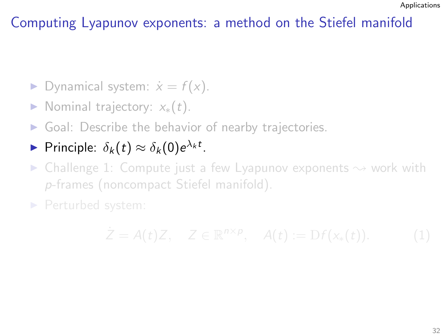- ▶ Dynamical system:  $\dot{x} = f(x)$ .
- Nominal trajectory:  $x_*(t)$ .
- $\triangleright$  Goal: Describe the behavior of nearby trajectories.

# Principle:  $\delta_k(t) \approx \delta_k(0)e^{\lambda_k t}$ .

 $\triangleright$  Challenge 1: Compute just a few Lyapunov exponents  $\rightsquigarrow$  work with p-frames (noncompact Stiefel manifold).

▶ Perturbed system:

$$
\dot{Z} = A(t)Z, \quad Z \in \mathbb{R}^{n \times p}, \quad A(t) := Df(x_*(t)). \tag{1}
$$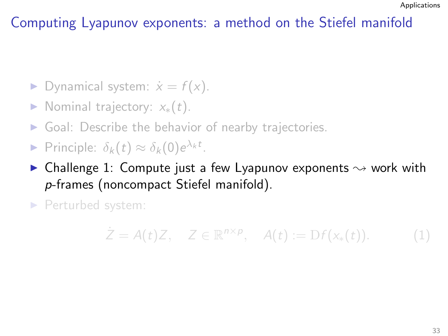- ▶ Dynamical system:  $\dot{x} = f(x)$ .
- Nominal trajectory:  $x_*(t)$ .
- $\triangleright$  Goal: Describe the behavior of nearby trajectories.
- Principle:  $\delta_k(t) \approx \delta_k(0) e^{\lambda_k t}$ .
- $\triangleright$  Challenge 1: Compute just a few Lyapunov exponents  $\rightsquigarrow$  work with p-frames (noncompact Stiefel manifold).

▶ Perturbed system:

$$
\dot{Z} = A(t)Z, \quad Z \in \mathbb{R}^{n \times p}, \quad A(t) := \mathrm{D}f(x_*(t)). \tag{1}
$$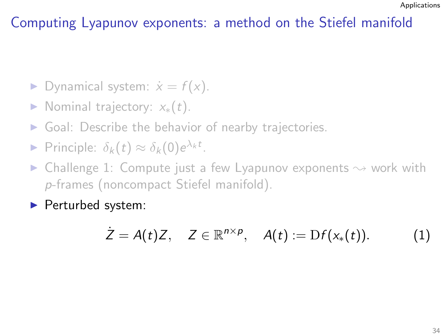- ▶ Dynamical system:  $\dot{x} = f(x)$ .
- Nominal trajectory:  $x_*(t)$ .
- $\triangleright$  Goal: Describe the behavior of nearby trajectories.
- Principle:  $\delta_k(t) \approx \delta_k(0) e^{\lambda_k t}$ .
- Challenge 1: Compute just a few Lyapunov exponents  $\sim$  work with p-frames (noncompact Stiefel manifold).
- ▶ Perturbed system:

$$
\dot{Z} = A(t)Z, \quad Z \in \mathbb{R}^{n \times p}, \quad A(t) := \mathrm{D}f(x_*(t)). \tag{1}
$$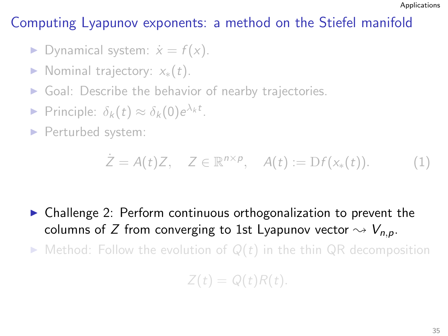- ▶ Dynamical system:  $\dot{x} = f(x)$ .
- Nominal trajectory:  $x_*(t)$ .
- $\triangleright$  Goal: Describe the behavior of nearby trajectories.
- Principle:  $\delta_k(t) \approx \delta_k(0) e^{\lambda_k t}$ .
- ▶ Perturbed system:

$$
\dot{Z} = A(t)Z, \quad Z \in \mathbb{R}^{n \times p}, \quad A(t) := \mathrm{D}f(x_*(t)). \tag{1}
$$

▶ Challenge 2: Perform continuous orthogonalization to prevent the columns of Z from converging to 1st Lyapunov vector  $\sim V_{n,p}$ .

 $\triangleright$  Method: Follow the evolution of  $Q(t)$  in the thin QR decomposition

$$
Z(t) = Q(t)R(t).
$$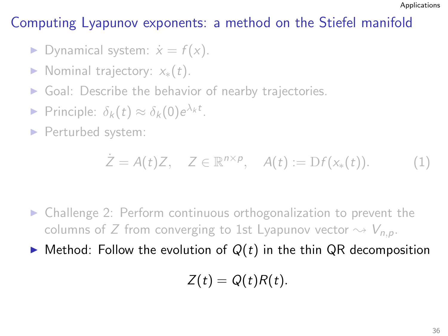- ▶ Dynamical system:  $\dot{x} = f(x)$ .
- Nominal trajectory:  $x_*(t)$ .
- $\triangleright$  Goal: Describe the behavior of nearby trajectories.
- Principle:  $\delta_k(t) \approx \delta_k(0) e^{\lambda_k t}$ .
- ▶ Perturbed system:

$$
\dot{Z} = A(t)Z, \quad Z \in \mathbb{R}^{n \times p}, \quad A(t) := \mathrm{D}f(x_*(t)). \tag{1}
$$

- ▶ Challenge 2: Perform continuous orthogonalization to prevent the columns of Z from converging to 1st Lyapunov vector  $\sim V_{n,p}$ .
- $\blacktriangleright$  Method: Follow the evolution of  $Q(t)$  in the thin QR decomposition

$$
Z(t) = Q(t)R(t).
$$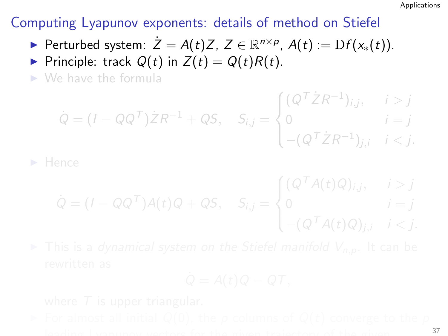- ► Perturbed system:  $\dot{Z} = A(t)Z$ ,  $Z \in \mathbb{R}^{n \times p}$ ,  $A(t) := Df(x_*(t))$ .
- Principle: track  $Q(t)$  in  $Z(t) = Q(t)R(t)$ .
- $\triangleright$  We have the formula

$$
\dot{Q} = (I - QQ^{\mathsf{T}})\dot{Z}R^{-1} + QS, \quad S_{i,j} = \begin{cases} (Q^{\mathsf{T}}\dot{Z}R^{-1})_{i,j}, & i > j \\ 0 & i = j \\ -(Q^{\mathsf{T}}\dot{Z}R^{-1})_{j,i} & i < j. \end{cases}
$$

$$
\dot{Q} = (I - QQ^T)A(t)Q + QS, \quad S_{i,j} = \begin{cases} (Q^T A(t)Q)_{i,j}, & i > j \\ 0 & i = j \\ -(Q^T A(t)Q)_{j,i} & i < j. \end{cases}
$$

$$
Q = A(t)Q - QT,
$$

leading use the given trajectory of the given  $\frac{37}{2}$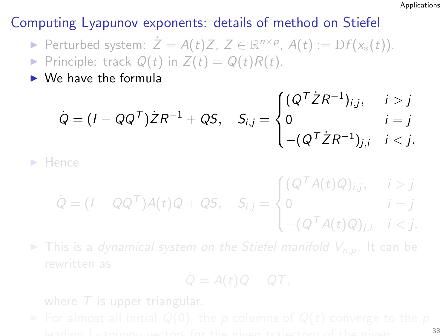- ► Perturbed system:  $\dot{Z} = A(t)Z$ ,  $Z \in \mathbb{R}^{n \times p}$ ,  $A(t) := Df(x_*(t))$ .
- Principle: track  $Q(t)$  in  $Z(t) = Q(t)R(t)$ .
- $\triangleright$  We have the formula

$$
\dot{Q} = (I - QQ^{\mathsf{T}})\dot{Z}R^{-1} + QS, \quad S_{i,j} = \begin{cases} (Q^{\mathsf{T}}\dot{Z}R^{-1})_{i,j}, & i > j \\ 0 & i = j \\ -(Q^{\mathsf{T}}\dot{Z}R^{-1})_{j,i} & i < j. \end{cases}
$$

◮ Hence

$$
\dot{Q} = (I - QQ^T)A(t)Q + QS, \quad S_{i,j} = \begin{cases} (Q^T A(t)Q)_{i,j}, & i > j \\ 0 & i = j \\ -(Q^T A(t)Q)_{j,i} & i < j. \end{cases}
$$

 $\blacktriangleright$  This is a dynamical system on the Stiefel manifold  $V_{n,p}$ . It can be

$$
\dot{Q}=A(t)Q-QT,
$$

leading Lyapunov vectors for the given trajectory of the given <sup>38</sup>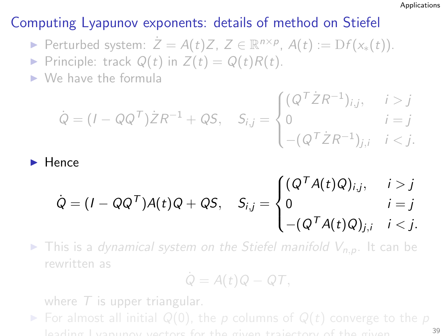- ► Perturbed system:  $\dot{Z} = A(t)Z$ ,  $Z \in \mathbb{R}^{n \times p}$ ,  $A(t) := Df(x_*(t))$ .
- Principle: track  $Q(t)$  in  $Z(t) = Q(t)R(t)$ .
- $\triangleright$  We have the formula

$$
\dot{Q} = (I - QQ^{\mathsf{T}})\dot{Z}R^{-1} + QS, \quad S_{i,j} = \begin{cases} (Q^{\mathsf{T}}\dot{Z}R^{-1})_{i,j}, & i > j \\ 0 & i = j \\ -(Q^{\mathsf{T}}\dot{Z}R^{-1})_{j,i} & i < j. \end{cases}
$$

## $\blacktriangleright$  Hence

$$
\dot{Q} = (I - QQ^T)A(t)Q + QS, \quad S_{i,j} = \begin{cases} (Q^T A(t)Q)_{i,j}, & i > j \\ 0 & i = j \\ -(Q^T A(t)Q)_{j,i} & i < j. \end{cases}
$$

 $\triangleright$  This is a dynamical system on the Stiefel manifold  $V_{n,p}$ . It can be rewritten as

$$
\dot{Q}=A(t)Q-QT,
$$

where  $T$  is upper triangular.

► For almost all initial  $Q(0)$ , the p columns of  $Q(t)$  converge to the p leading Lyapunov vectors for the given trajectory of the given <sup>39</sup>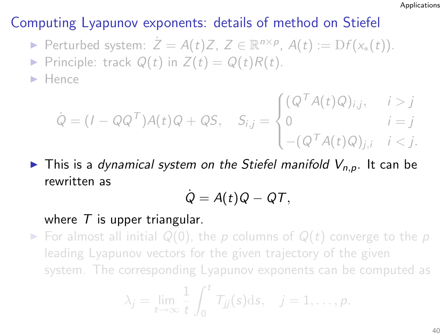- ► Perturbed system:  $\dot{Z} = A(t)Z$ ,  $Z \in \mathbb{R}^{n \times p}$ ,  $A(t) := Df(x_*(t))$ .
- Principle: track  $Q(t)$  in  $Z(t) = Q(t)R(t)$ .

 $\blacktriangleright$  Hence

$$
\dot{Q} = (I - QQ^T)A(t)Q + QS, \quad S_{i,j} = \begin{cases} (Q^T A(t)Q)_{i,j}, & i > j \\ 0 & i = j \\ -(Q^T A(t)Q)_{j,i} & i < j. \end{cases}
$$

 $\blacktriangleright$  This is a dynamical system on the Stiefel manifold  $V_{n,p}$ . It can be rewritten as

$$
\dot{Q}=A(t)Q-QT,
$$

#### where  $T$  is upper triangular.

 $\triangleright$  For almost all initial  $Q(0)$ , the p columns of  $Q(t)$  converge to the p leading Lyapunov vectors for the given trajectory of the given system. The corresponding Lyapunov exponents can be computed as

$$
\lambda_j=\lim_{t\to\infty}\frac{1}{t}\int_0^t T_{jj}(s)\mathrm{d} s,\quad j=1,\ldots,p.
$$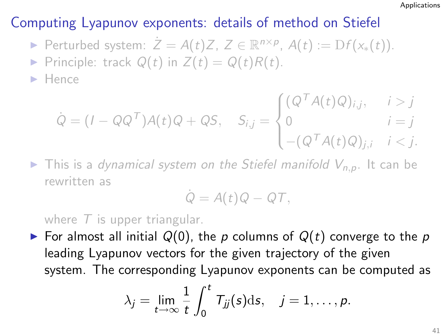- ► Perturbed system:  $\dot{Z} = A(t)Z$ ,  $Z \in \mathbb{R}^{n \times p}$ ,  $A(t) := Df(x_*(t))$ .
- Principle: track  $Q(t)$  in  $Z(t) = Q(t)R(t)$ .

 $\blacktriangleright$  Hence

$$
\dot{Q} = (I - QQ^T)A(t)Q + QS, \quad S_{i,j} = \begin{cases} (Q^T A(t)Q)_{i,j}, & i > j \\ 0 & i = j \\ -(Q^T A(t)Q)_{j,i} & i < j. \end{cases}
$$

 $\blacktriangleright$  This is a dynamical system on the Stiefel manifold  $V_{n,p}$ . It can be rewritten as

$$
\dot{Q} = A(t)Q - QT,
$$

where  $T$  is upper triangular.

► For almost all initial  $Q(0)$ , the p columns of  $Q(t)$  converge to the p leading Lyapunov vectors for the given trajectory of the given system. The corresponding Lyapunov exponents can be computed as

$$
\lambda_j=\lim_{t\to\infty}\frac{1}{t}\int_0^t T_{jj}(s)\mathrm{d} s,\quad j=1,\ldots,p.
$$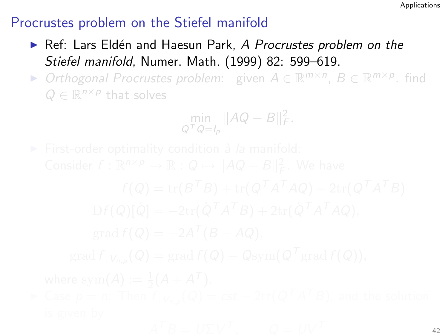- ▶ Ref: Lars Eldén and Haesun Park, A Procrustes problem on the Stiefel manifold, Numer. Math. (1999) 82: 599–619.
- ▶ Orthogonal Procrustes problem: given  $A \in \mathbb{R}^{m \times n}$ ,  $B \in \mathbb{R}^{m \times p}$ . find  $Q \in \mathbb{R}^{n \times p}$  that solves

$$
\min_{Q^T Q = I_p} \|AQ - B\|_F^2.
$$

 $A^T B = U \Sigma V^T$ ,  $Q = UV^T$  42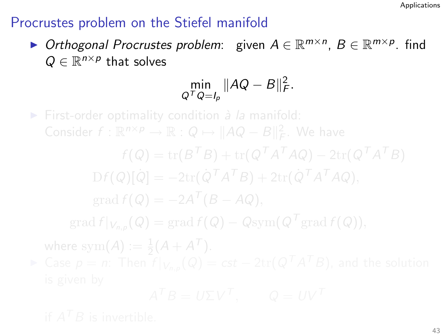▶ Orthogonal Procrustes problem: given  $A \in \mathbb{R}^{m \times n}$ ,  $B \in \mathbb{R}^{m \times p}$ . find  $Q \in \mathbb{R}^{n \times p}$  that solves

$$
\min_{Q^T Q = I_p} \|AQ - B\|_F^2.
$$

 $\triangleright$  First-order optimality condition à la manifold:  $\mathrm{D}f(Q)[\dot{Q}]=-2\mathrm{tr}(\dot{Q}^{\mathsf{T}}A^{\mathsf{T}}B)+2\mathrm{tr}(\dot{Q}^{\mathsf{T}}A^{\mathsf{T}}AQ),$  $\operatorname{grad} f(Q) = -2A^T(B - AQ),$  $\mathrm{grad}\, f|_{V_{n,p}}(Q)=\mathrm{grad}\, f(Q)-Q\mathrm{sym}(Q^{\mathcal{T}}\mathrm{grad}\, f(Q)),$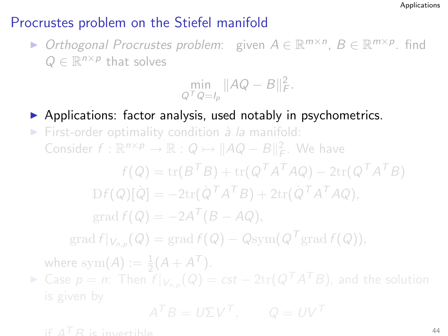▶ Orthogonal Procrustes problem: given  $A \in \mathbb{R}^{m \times n}$ ,  $B \in \mathbb{R}^{m \times p}$ . find  $Q \in \mathbb{R}^{n \times p}$  that solves

$$
\min_{Q^T Q = I_p} \|AQ - B\|_F^2.
$$

▶ Applications: factor analysis, used notably in psychometrics. First-order optimality condition  $\dot{a}$  la manifold:

Consider  $f: \mathbb{R}^{n \times p} \to \mathbb{R} : Q \mapsto ||AQ - B||_F^2$ . We have

 $f(Q) = \text{tr}(B^T B) + \text{tr}(Q^T A^T A Q) - 2 \text{tr}(Q^T A^T B)$  $\mathrm{D}f(Q)[\dot{Q}]=-2\mathrm{tr}(\dot{Q}^{\mathsf{T}}A^{\mathsf{T}}B)+2\mathrm{tr}(\dot{Q}^{\mathsf{T}}A^{\mathsf{T}}AQ),$ 

$$
\operatorname{grad} f(Q) = -2A^T (B - AQ),
$$

 $\mathrm{grad}\,f|_{V_{n,p}}(Q)=\mathrm{grad}\,f(Q)-Q\mathrm{sym}(Q^{\mathcal{T}}\mathrm{grad}\,f(Q)),$ 

where sym $(A) := \frac{1}{2}(A + A^T).$ 

► Case  $p = n$ : Then  $f|_{V_{n,p}}(Q) = cst - 2\text{tr}(Q^TA^TB)$ , and the solution

$$
A^T B = U \Sigma V^T, \qquad Q = U V^T
$$

if  $A^{T}R$  is invertible.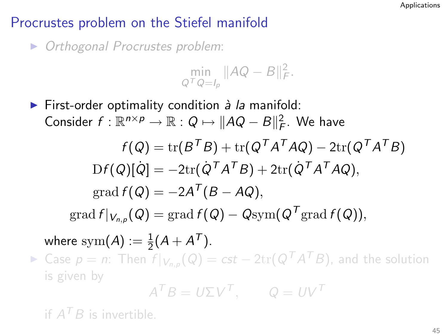▶ Orthogonal Procrustes problem:

$$
\min_{Q^T Q = I_p} \|AQ - B\|_F^2.
$$

 $\triangleright$  First-order optimality condition à la manifold: Consider  $f: \mathbb{R}^{n \times p} \to \mathbb{R}: Q \mapsto ||AQ - B||_F^2$ . We have  $f(Q)={\rm tr}(B^TB)+{\rm tr}(Q^TA^TAQ)-2{\rm tr}(Q^TA^TB)$  $\mathrm{D}f(Q)[\dot{Q}]=-2\mathrm{tr}(\dot{Q}^TA^TB)+2\mathrm{tr}(\dot{Q}^TA^TAQ),$  $\operatorname{grad} f(Q) = -2A^T(B - AQ),$  $\mathrm{grad}\,f|_{V_{n,p}}(Q)=\mathrm{grad}\,f(Q)-Q\mathrm{sym}(Q^{\mathcal{T}}\mathrm{grad}\,f(Q)),$ where  $\mathrm{sym}(A):=\frac{1}{2}(A+A^{\mathcal{T}}).$ ► Case  $p = n$ : Then  $f|_{V_{n,p}}(Q) = cst - 2\text{tr}(Q^TA^TB)$ , and the solution is given by

$$
A^T B = U \Sigma V^T, \qquad Q = UV^T
$$

if  $A^T B$  is invertible.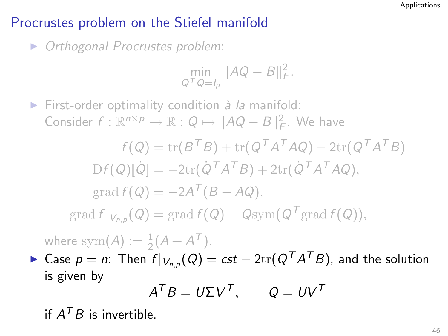▶ Orthogonal Procrustes problem:

$$
\min_{Q^T Q = I_p} \|AQ - B\|_F^2.
$$

 $\triangleright$  First-order optimality condition à la manifold: Consider  $f: \mathbb{R}^{n \times p} \to \mathbb{R} : Q \mapsto ||AQ - B||_F^2$ . We have

$$
f(Q) = \text{tr}(B^T B) + \text{tr}(Q^T A^T A Q) - 2 \text{tr}(Q^T A^T B)
$$
  
\n
$$
\text{D}f(Q)[\dot{Q}] = -2 \text{tr}(\dot{Q}^T A^T B) + 2 \text{tr}(\dot{Q}^T A^T A Q),
$$
  
\n
$$
\text{grad } f(Q) = -2 A^T (B - A Q),
$$
  
\n
$$
\text{grad } f|_{V_{n,p}}(Q) = \text{grad } f(Q) - \text{Qsym}(Q^T \text{grad } f(Q)),
$$

where sym $(A) := \frac{1}{2}(A + A^{T}).$ 

► Case  $p = n$ : Then  $f|_{V_{n,p}}(Q) = cst - 2\text{tr}(Q^TA^TB)$ , and the solution is given by

$$
A^T B = U \Sigma V^T, \qquad Q = U V^T
$$

if  $A^T B$  is invertible.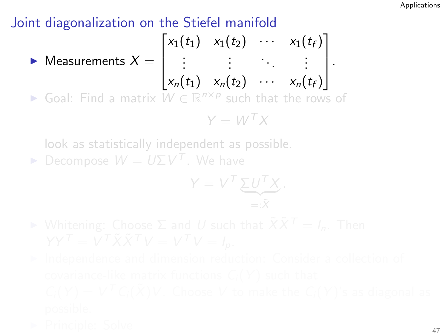$\sqrt{ }$ 

 $\blacktriangleright$  Measurements  $X=$ 

$$
\begin{bmatrix} \vdots & \vdots & \ddots & \vdots \\ x_n(t_1) & x_n(t_2) & \cdots & x_n(t_f) \end{bmatrix}.
$$

 $x_1(t_1)$   $x_1(t_2)$   $\cdots$   $x_1(t_f)$ 

1

► Goal: Find a matrix  $W \in \mathbb{R}^{n \times p}$  such that the rows of

$$
Y = W^T X
$$

look as statistically independent as possible.

 $\blacktriangleright$  Decompose  $W = U \Sigma V^{T}$ . We have

$$
Y = V^T \underbrace{\Sigma U^T X}_{=: \tilde{X}}.
$$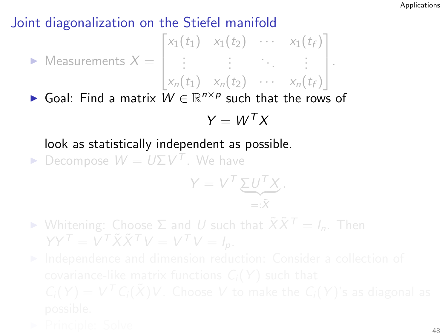$$
\triangleright \text{ Measurements } X = \begin{bmatrix} x_1(t_1) & x_1(t_2) & \cdots & x_1(t_f) \\ \vdots & \vdots & \ddots & \vdots \\ x_n(t_1) & x_n(t_2) & \cdots & x_n(t_f) \end{bmatrix}.
$$

► Goal: Find a matrix  $W \in \mathbb{R}^{n \times p}$  such that the rows of

$$
Y = W^T X
$$

### look as statistically independent as possible.

 $\blacktriangleright$  Decompose  $W = U \Sigma V^{T}$ . We have

$$
Y = V^T \underbrace{\Sigma U^T X}_{=: \tilde{X}}.
$$

► Whitening: Choose  $\Sigma$  and U such that  $\tilde{X} \tilde{X}^T = I_n$ . Then  $YY^{\mathsf{T}} = V^{\mathsf{T}} \tilde{X} \tilde{X}^{\mathsf{T}} V = V^{\mathsf{T}} V = I_p.$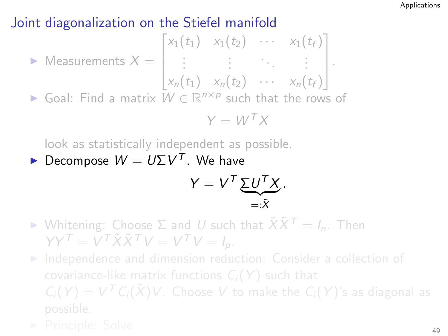► Measurements 
$$
X = \begin{bmatrix} x_1(t_1) & x_1(t_2) & \cdots & x_1(t_f) \\ \vdots & \vdots & \ddots & \vdots \\ x_n(t_1) & x_n(t_2) & \cdots & x_n(t_f) \end{bmatrix}
$$
.  
\n▶ Goal: Find a matrix  $W \in \mathbb{R}^{n \times p}$  such that the rows of  $Y = W^T X$ 

look as statistically independent as possible.

 $\blacktriangleright$  Decompose  $W = U \Sigma V^{T}$ . We have

$$
Y = V^T \underbrace{\Sigma U^T X}_{=: \tilde{X}}.
$$

 $\triangleright$  Whitening: Choose  $\Sigma$  and U such that  $\tilde{X}\tilde{X}^T = I_n$ . Then  $YY<sup>T</sup> = V<sup>T</sup> \tilde{X} \tilde{X}^T V = V<sup>T</sup> V = I_p.$ 

▶ Independence and dimension reduction: Consider a collection of  $C_i(Y) = V^T C_i(\tilde{X}) V$ . Choose V to make the  $C_i(Y)$ 's as diagonal as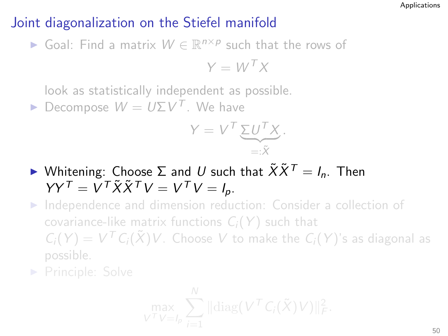► Goal: Find a matrix  $W \in \mathbb{R}^{n \times p}$  such that the rows of

$$
Y = W^T X
$$

look as statistically independent as possible.

 $\blacktriangleright$  Decompose  $W = U \Sigma V^{T}$ . We have

$$
Y = V^T \underbrace{\Sigma U^T X}_{=: \tilde{X}}.
$$

 $\blacktriangleright$  Whitening: Choose  $\Sigma$  and U such that  $\tilde{X}\tilde{X}^T = I_n$ . Then  $YY<sup>T</sup> = V<sup>T</sup> \tilde{X} \tilde{X}^T V = V<sup>T</sup> V = I_p.$ 

▶ Independence and dimension reduction: Consider a collection of covariance-like matrix functions  $C_i(Y)$  such that  $C_i(Y) = V^T C_i(\tilde{X}) V$ . Choose V to make the  $C_i(Y)$ 's as diagonal as

$$
\max_{V^{\mathcal{T}}V=l_p}\sum_{i=1}^N\|\mathrm{diag}(V^{\mathcal{T}}C_i(\tilde{X})V)\|_F^2.
$$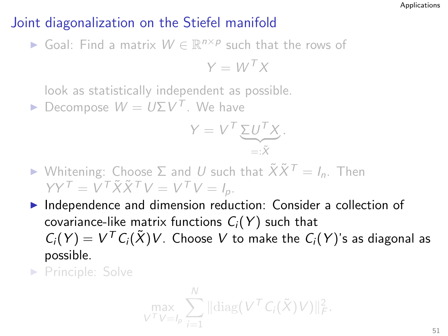► Goal: Find a matrix  $W \in \mathbb{R}^{n \times p}$  such that the rows of

$$
Y = W^T X
$$

look as statistically independent as possible.

 $\blacktriangleright$  Decompose  $W = U \Sigma V^{T}$ . We have

$$
Y = V^T \underbrace{\Sigma U^T X}_{=: \tilde{X}}.
$$

- $\triangleright$  Whitening: Choose  $\Sigma$  and U such that  $\tilde{X}\tilde{X}^T = I_n$ . Then  $YY<sup>T</sup> = V<sup>T</sup> \tilde{X} \tilde{X}^T V = V<sup>T</sup> V = I_p.$
- ▶ Independence and dimension reduction: Consider a collection of covariance-like matrix functions  $C_i(Y)$  such that  $C_i(Y) = V^T C_i(\tilde{X}) V$ . Choose V to make the  $C_i(Y)$ 's as diagonal as possible.
- ▶ Principle: Solve

$$
\max_{V^{\mathcal{T}}V=I_p}\sum_{i=1}^N\|\mathrm{diag}(V^{\mathcal{T}}C_i(\tilde{X})V)\|_F^2.
$$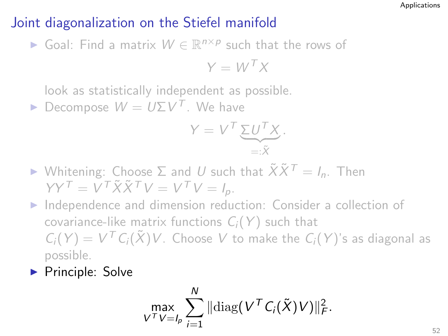► Goal: Find a matrix  $W \in \mathbb{R}^{n \times p}$  such that the rows of

$$
Y = W^T X
$$

look as statistically independent as possible.

 $\blacktriangleright$  Decompose  $W = U \Sigma V^{T}$ . We have

$$
Y = V^T \underbrace{\Sigma U^T X}_{=: \tilde{X}}.
$$

- $\triangleright$  Whitening: Choose  $\Sigma$  and U such that  $\tilde{X}\tilde{X}^T = I_n$ . Then  $YY<sup>T</sup> = V<sup>T</sup> \tilde{X} \tilde{X}^T V = V<sup>T</sup> V = I_p.$
- ▶ Independence and dimension reduction: Consider a collection of covariance-like matrix functions  $C_i(Y)$  such that  $C_i(Y) = V^T C_i(\tilde{X}) V$ . Choose V to make the  $C_i(Y)$ 's as diagonal as possible.
- ▶ Principle: Solve

$$
\max_{V^T V = I_p} \sum_{i=1}^N \|\mathrm{diag}(V^T C_i(\tilde{X})V)\|_F^2.
$$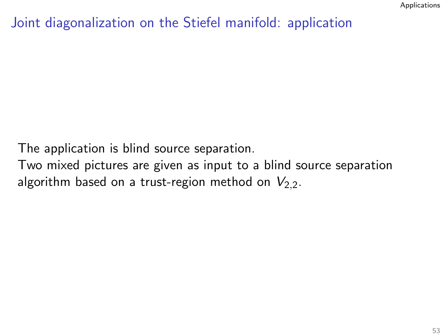### Joint diagonalization on the Stiefel manifold: application

The application is blind source separation.

Two mixed pictures are given as input to a blind source separation algorithm based on a trust-region method on  $V_{2,2}$ .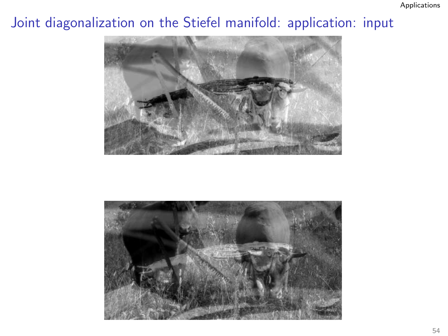## Joint diagonalization on the Stiefel manifold: application: input



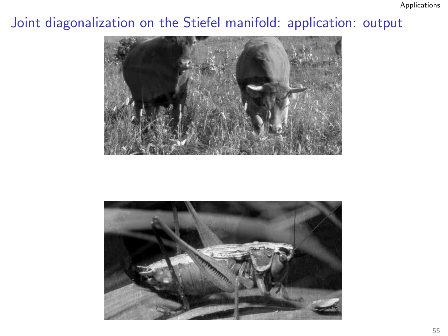## Joint diagonalization on the Stiefel manifold: application: output



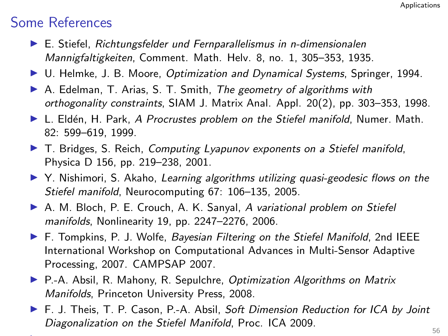### Some References

- ▶ E. Stiefel, Richtungsfelder und Fernparallelismus in n-dimensionalen Mannigfaltigkeiten, Comment. Math. Helv. 8, no. 1, 305–353, 1935.
- ▶ U. Helmke, J. B. Moore, Optimization and Dynamical Systems, Springer, 1994.
- $\triangleright$  A. Edelman, T. Arias, S. T. Smith, The geometry of algorithms with orthogonality constraints, SIAM J. Matrix Anal. Appl. 20(2), pp. 303–353, 1998.
- $\blacktriangleright$  L. Eldén, H. Park, A Procrustes problem on the Stiefel manifold, Numer. Math. 82: 599–619, 1999.
- $\blacktriangleright$  T. Bridges, S. Reich, *Computing Lyapunov exponents on a Stiefel manifold*, Physica D 156, pp. 219–238, 2001.
- $\triangleright$  Y. Nishimori, S. Akaho, Learning algorithms utilizing quasi-geodesic flows on the Stiefel manifold, Neurocomputing 67: 106–135, 2005.
- ▶ A. M. Bloch, P. E. Crouch, A. K. Sanyal, A variational problem on Stiefel manifolds, Nonlinearity 19, pp. 2247–2276, 2006.
- $\blacktriangleright$  F. Tompkins, P. J. Wolfe, *Bayesian Filtering on the Stiefel Manifold*, 2nd IEEE International Workshop on Computational Advances in Multi-Sensor Adaptive Processing, 2007. CAMPSAP 2007.
- ▶ P.-A. Absil, R. Mahony, R. Sepulchre, Optimization Algorithms on Matrix Manifolds, Princeton University Press, 2008.
- ▶ F. J. Theis, T. P. Cason, P.-A. Absil, Soft Dimension Reduction for ICA by Joint Diagonalization on the Stiefel Manifold, Proc. ICA 2009.